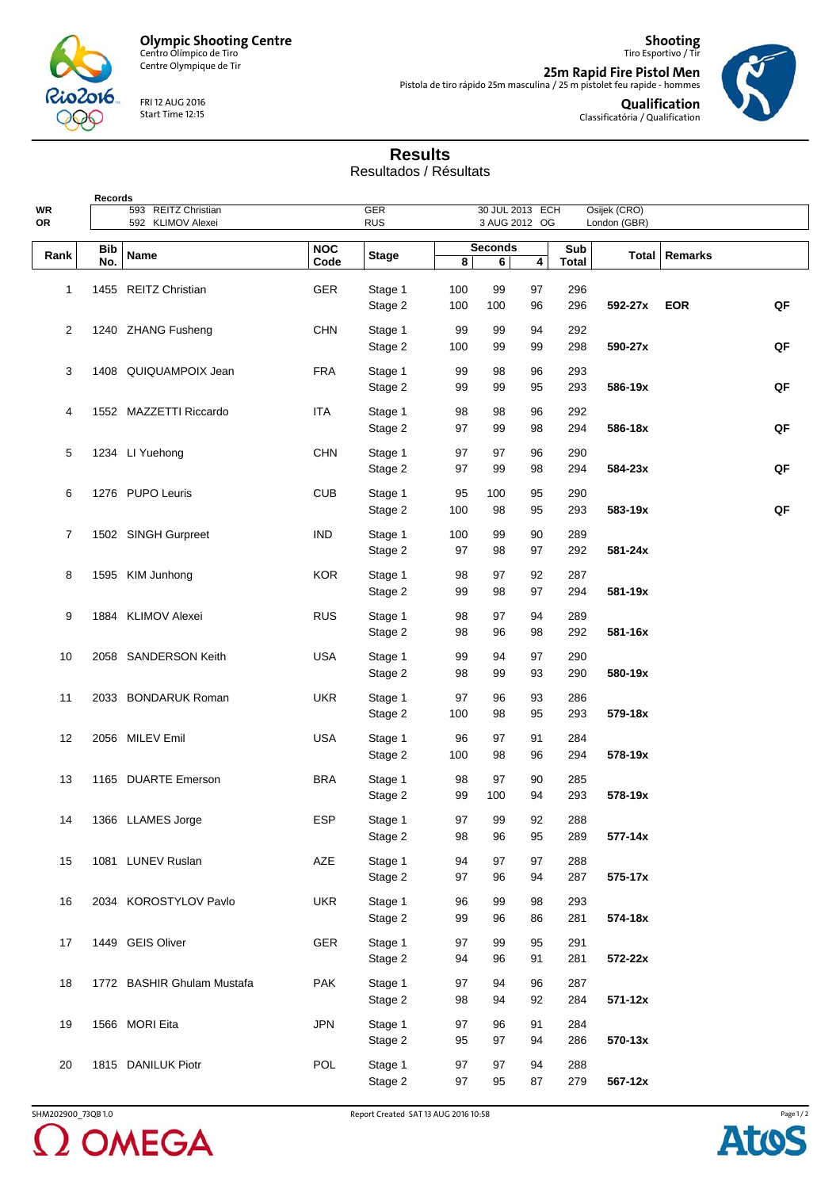

Centre Olympique de Tir

FRI 12 AUG 2016 Start Time 12:15

**25m Rapid Fire Pistol Men** Pistola de tiro rápido 25m masculina / 25 m pistolet feu rapide - hommes



**Qualification** Classificatória / Qualification

**Shooting** Tiro Esportivo / Tir

## **Results**

Resultados / Résultats

| Records  |            |                            |                    |                          |          |                                  |          |              |              |                 |    |
|----------|------------|----------------------------|--------------------|--------------------------|----------|----------------------------------|----------|--------------|--------------|-----------------|----|
| WR<br>OR |            | 593 REITZ Christian        |                    | <b>GER</b><br><b>RUS</b> |          | 30 JUL 2013 ECH<br>3 AUG 2012 OG |          |              | Osijek (CRO) |                 |    |
|          |            | 592 KLIMOV Alexei          |                    |                          |          |                                  |          |              | London (GBR) |                 |    |
| Rank     | Bib<br>No. | Name                       | <b>NOC</b><br>Code | <b>Stage</b>             | 8        | <b>Seconds</b><br>6              | 4        | Sub<br>Total |              | Total   Remarks |    |
|          |            |                            |                    |                          |          |                                  |          |              |              |                 |    |
| 1        |            | 1455 REITZ Christian       | <b>GER</b>         | Stage 1                  | 100      | 99                               | 97       | 296          |              |                 |    |
|          |            |                            |                    | Stage 2                  | 100      | 100                              | 96       | 296          | 592-27x      | <b>EOR</b>      | QF |
| 2        |            | 1240 ZHANG Fusheng         | <b>CHN</b>         | Stage 1                  | 99       | 99                               | 94       | 292          |              |                 |    |
|          |            |                            |                    | Stage 2                  | 100      | 99                               | 99       | 298          | 590-27x      |                 | QF |
|          |            |                            |                    |                          |          |                                  |          |              |              |                 |    |
| 3        |            | 1408 QUIQUAMPOIX Jean      | <b>FRA</b>         | Stage 1                  | 99       | 98                               | 96       | 293          |              |                 |    |
|          |            |                            |                    | Stage 2                  | 99       | 99                               | 95       | 293          | 586-19x      |                 | QF |
| 4        |            | 1552 MAZZETTI Riccardo     | <b>ITA</b>         | Stage 1                  | 98       | 98                               | 96       | 292          |              |                 |    |
|          |            |                            |                    | Stage 2                  | 97       | 99                               | 98       | 294          | 586-18x      |                 | QF |
|          |            |                            |                    |                          |          |                                  |          |              |              |                 |    |
| 5        |            | 1234 LI Yuehong            | <b>CHN</b>         | Stage 1                  | 97       | 97                               | 96       | 290          |              |                 | QF |
|          |            |                            |                    | Stage 2                  | 97       | 99                               | 98       | 294          | 584-23x      |                 |    |
| 6        |            | 1276 PUPO Leuris           | <b>CUB</b>         | Stage 1                  | 95       | 100                              | 95       | 290          |              |                 |    |
|          |            |                            |                    | Stage 2                  | 100      | 98                               | 95       | 293          | 583-19x      |                 | QF |
| 7        |            | 1502 SINGH Gurpreet        | <b>IND</b>         | Stage 1                  | 100      | 99                               | 90       | 289          |              |                 |    |
|          |            |                            |                    | Stage 2                  | 97       | 98                               | 97       | 292          | 581-24x      |                 |    |
|          |            |                            |                    |                          |          |                                  |          |              |              |                 |    |
| 8        |            | 1595 KIM Junhong           | <b>KOR</b>         | Stage 1                  | 98       | 97                               | 92       | 287          |              |                 |    |
|          |            |                            |                    | Stage 2                  | 99       | 98                               | 97       | 294          | 581-19x      |                 |    |
| 9        |            | 1884 KLIMOV Alexei         | <b>RUS</b>         | Stage 1                  | 98       | 97                               | 94       | 289          |              |                 |    |
|          |            |                            |                    | Stage 2                  | 98       | 96                               | 98       | 292          | 581-16x      |                 |    |
| 10       |            | 2058 SANDERSON Keith       | <b>USA</b>         | Stage 1                  | 99       | 94                               | 97       | 290          |              |                 |    |
|          |            |                            |                    | Stage 2                  | 98       | 99                               | 93       | 290          | 580-19x      |                 |    |
|          |            |                            |                    |                          |          |                                  |          |              |              |                 |    |
| 11       |            | 2033 BONDARUK Roman        | <b>UKR</b>         | Stage 1                  | 97       | 96                               | 93       | 286          |              |                 |    |
|          |            |                            |                    | Stage 2                  | 100      | 98                               | 95       | 293          | 579-18x      |                 |    |
| 12       |            | 2056 MILEV Emil            | <b>USA</b>         | Stage 1                  | 96       | 97                               | 91       | 284          |              |                 |    |
|          |            |                            |                    | Stage 2                  | 100      | 98                               | 96       | 294          | 578-19x      |                 |    |
|          |            |                            |                    |                          |          |                                  |          |              |              |                 |    |
| 13       |            | 1165 DUARTE Emerson        | <b>BRA</b>         | Stage 1                  | 98<br>99 | 97                               | 90<br>94 | 285<br>293   | 578-19x      |                 |    |
|          |            |                            |                    | Stage 2                  |          | 100                              |          |              |              |                 |    |
| 14       |            | 1366 LLAMES Jorge          | <b>ESP</b>         | Stage 1                  | 97       | 99                               | 92       | 288          |              |                 |    |
|          |            |                            |                    | Stage 2                  | 98       | 96                               | 95       | 289          | 577-14x      |                 |    |
| 15       |            | 1081 LUNEV Ruslan          | AZE                | Stage 1                  | 94       | 97                               | 97       | 288          |              |                 |    |
|          |            |                            |                    | Stage 2                  | 97       | 96                               | 94       | 287          | 575-17x      |                 |    |
|          |            |                            |                    |                          |          |                                  |          |              |              |                 |    |
| 16       |            | 2034 KOROSTYLOV Pavlo      | <b>UKR</b>         | Stage 1                  | 96       | 99                               | 98       | 293          |              |                 |    |
|          |            |                            |                    | Stage 2                  | 99       | 96                               | 86       | 281          | 574-18x      |                 |    |
| 17       |            | 1449 GEIS Oliver           | GER                | Stage 1                  | 97       | 99                               | 95       | 291          |              |                 |    |
|          |            |                            |                    | Stage 2                  | 94       | 96                               | 91       | 281          | 572-22x      |                 |    |
| 18       |            | 1772 BASHIR Ghulam Mustafa | <b>PAK</b>         | Stage 1                  | 97       | 94                               | 96       | 287          |              |                 |    |
|          |            |                            |                    | Stage 2                  | 98       | 94                               | 92       | 284          | 571-12x      |                 |    |
|          |            |                            |                    |                          |          |                                  |          |              |              |                 |    |
| 19       |            | 1566 MORI Eita             | <b>JPN</b>         | Stage 1                  | 97       | 96                               | 91       | 284          |              |                 |    |
|          |            |                            |                    | Stage 2                  | 95       | 97                               | 94       | 286          | 570-13x      |                 |    |
| 20       |            | 1815 DANILUK Piotr         | POL                | Stage 1                  | 97       | 97                               | 94       | 288          |              |                 |    |
|          |            |                            |                    | Stage 2                  | 97       | 95                               | 87       | 279          | 567-12x      |                 |    |
|          |            |                            |                    |                          |          |                                  |          |              |              |                 |    |

SHM202900\_73QB 1.0 Report Created SAT 13 AUG 2016 10:58 2 OMEGA